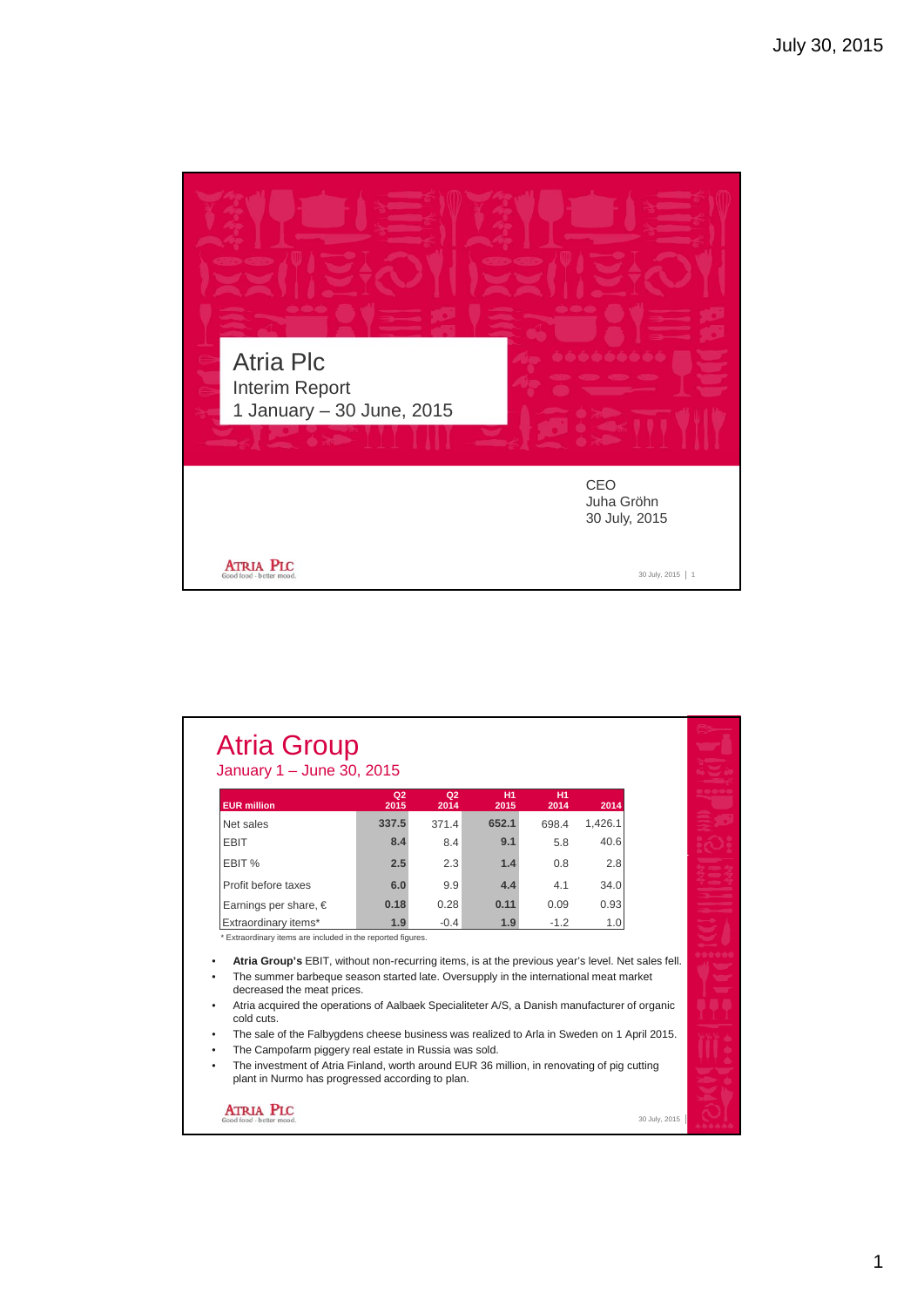

| <b>EUR million</b>                                                                                                                                                                                                                                                                                    | Q <sub>2</sub><br>2015 | Q <sub>2</sub><br>2014 | <b>H1</b><br>2015 | <b>H1</b><br>2014 | 2014    |  |
|-------------------------------------------------------------------------------------------------------------------------------------------------------------------------------------------------------------------------------------------------------------------------------------------------------|------------------------|------------------------|-------------------|-------------------|---------|--|
| Net sales                                                                                                                                                                                                                                                                                             | 337.5                  | 371.4                  | 652.1             | 698.4             | 1,426.1 |  |
| <b>EBIT</b>                                                                                                                                                                                                                                                                                           | 8.4                    | 8.4                    | 9.1               | 5.8               | 40.6    |  |
| EBIT %                                                                                                                                                                                                                                                                                                | 2.5                    | 2.3                    | 1.4               | 0.8               | 2.8     |  |
| Profit before taxes                                                                                                                                                                                                                                                                                   | 6.0                    | 9.9                    | 4.4               | 41                | 34.0    |  |
| Earnings per share, $\in$                                                                                                                                                                                                                                                                             | 0.18                   | 0.28                   | 0.11              | 0.09              | 0.93    |  |
| Extraordinary items*                                                                                                                                                                                                                                                                                  | 1.9                    | $-0.4$                 | 1.9               | $-1.2$            | 1.0     |  |
| * Extraordinary items are included in the reported figures.<br>Atria Group's EBIT, without non-recurring items, is at the previous year's level. Net sales fell.<br>The summer barbeque season started late. Oversupply in the international meat market<br>decreased the meat prices.                |                        |                        |                   |                   |         |  |
| Atria acquired the operations of Aalbaek Specialiteter A/S, a Danish manufacturer of organic<br>cold cuts.                                                                                                                                                                                            |                        |                        |                   |                   |         |  |
| The sale of the Falbygdens cheese business was realized to Arla in Sweden on 1 April 2015.<br>The Campofarm piggery real estate in Russia was sold.<br>The investment of Atria Finland, worth around EUR 36 million, in renovating of pig cutting<br>plant in Nurmo has progressed according to plan. |                        |                        |                   |                   |         |  |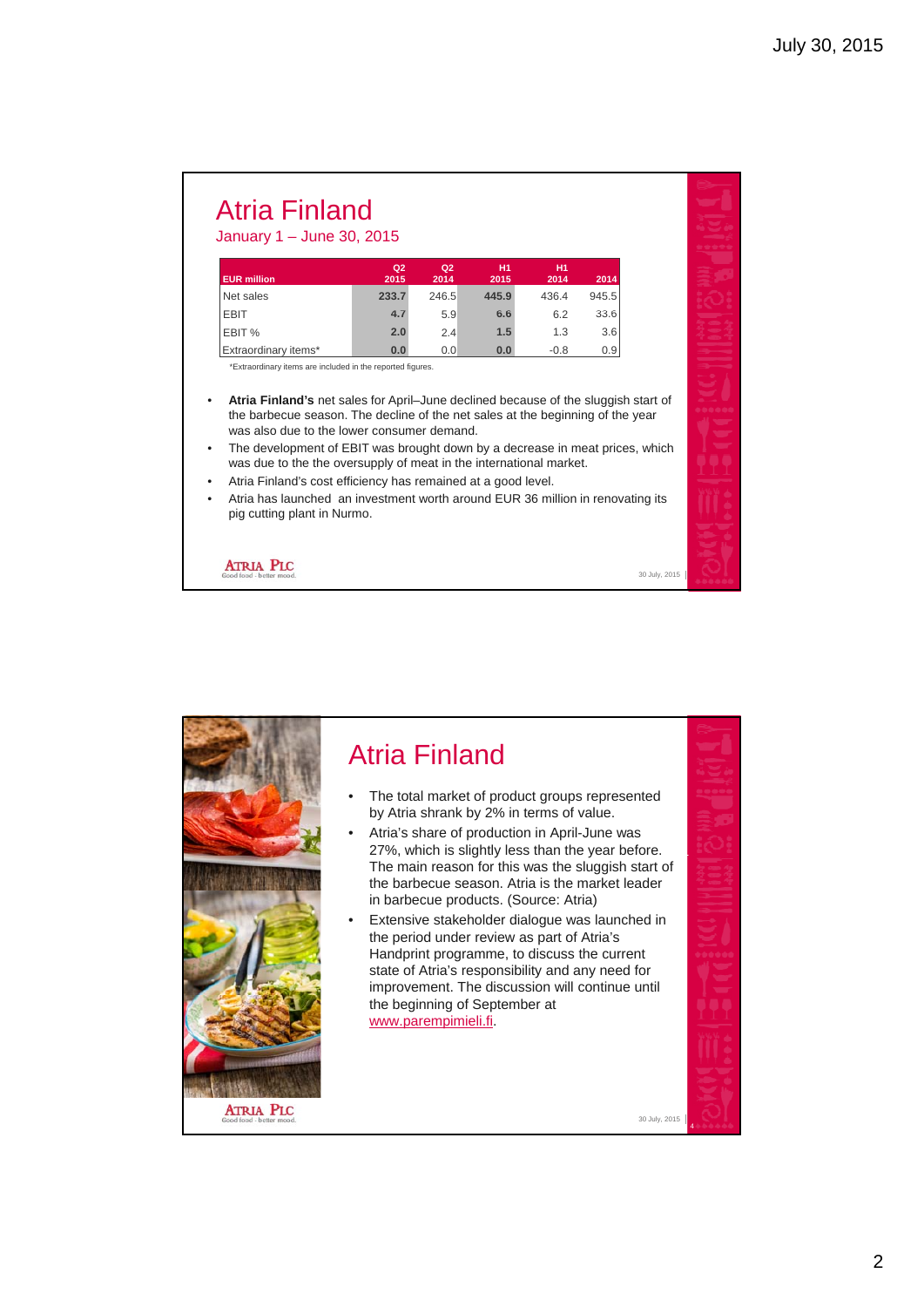#### Atria Finland January 1 – June 30, 2015

#### **EUR million Q2 2015 Q2 2014 H1 2015 H1 2014 2014** Net sales **233.7** 246.5 **445.9** 436.4 945.5 EBIT **4 7** 5 9 **6 6** 6 2 33 6 **4.7**5.9**6.6**6.233.6EBIT % **2.0** 2.4 **1.5** 1.3 3.6 Extraordinary items\* **0.0** 0.0 **0.0** -0.8 0.9

\*Extraordinary items are included in the reported figures.

- **Atria Finland's** net sales for April–June declined because of the sluggish start of the barbecue season. The decline of the net sales at the beginning of the year was also due to the lower consumer demand.
- The development of EBIT was brought down by a decrease in meat prices which The development of EBIT was brought down by <sup>a</sup> decrease in meat prices, was due to the the oversupply of meat in the international market.
- Atria Finland's cost efficiency has remained at a good level.
- Atria has launched an investment worth around EUR 36 million in renovating its pig cutting plant in Nurmo.

30 July, 2015

**ATRIA PLC** 

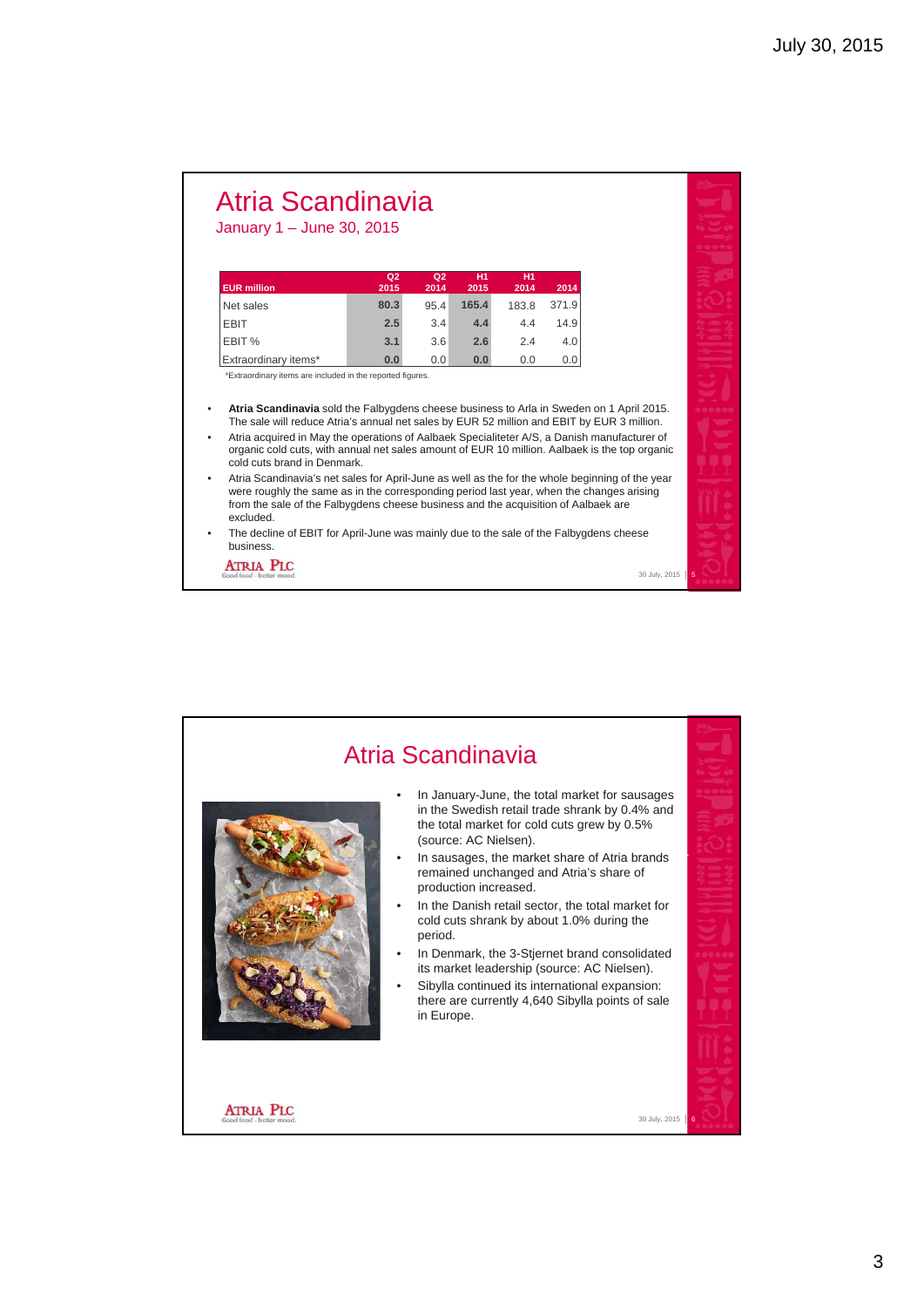# Atria Scandinavia

January 1 – June 30, 2015

| <b>EUR</b> million   | Q <sub>2</sub><br>2015 | Q <sub>2</sub><br>2014 | H1<br>2015 | <b>H1</b><br>2014 | 2014  |
|----------------------|------------------------|------------------------|------------|-------------------|-------|
| Net sales            | 80.3                   | 95.4                   | 165.4      | 183.8             | 371.9 |
| <b>EBIT</b>          | 2.5                    | 3.4                    | 4.4        | 4.4               | 14.9  |
| EBIT %               | 3.1                    | 3.6                    | 2.6        | 2.4               | 4.0   |
| Extraordinary items* | 0.0                    | 0.0                    | 0.0        | 0.0               | 0.0   |

\*Extraordinary items are included in the reported figures.

- **Atria Scandinavia** sold the Falbygdens cheese business to Arla in Sweden on 1 April 2015. The sale will reduce Atria's annual net sales by EUR 52 million and EBIT by EUR 3 million.
- Atria acquired in May the operations of Aalbaek Specialiteter A/S, a Danish manufacturer of organic cold cuts, with annual net sales amount of EUR 10 million. Aalbaek is the top organic cold cuts brand in Denmark.
- Atria Scandinavia's net sales for April-June as well as the for the whole beginning of the year were roughly the same as in the corresponding period last year, when the changes arising from the sale of the Falbygdens cheese business and the acquisition of Aalbaek are excluded.

30 July, 2015

The decline of EBIT for April-June was mainly due to the sale of the Falbygdens cheese business.

**ATRIA PLC** 

Atria Scandinavia • In January-June, the total market for sausages in the Swedish retail trade shrank by 0.4% and the total market for cold cuts grew by 0.5% (source: AC Nielsen). In sausages, the market share of Atria brands remained unchanged and Atria's share of production increased. In the Danish retail sector, the total market for cold cuts shrank by about 1.0% during the period. In Denmark, the 3-Stjernet brand consolidated its market leadership (source: AC Nielsen). Sibylla continued its international expansion: there are currently 4,640 Sibylla points of sale in Europe.**ATRIA PLC** 30 July, 2015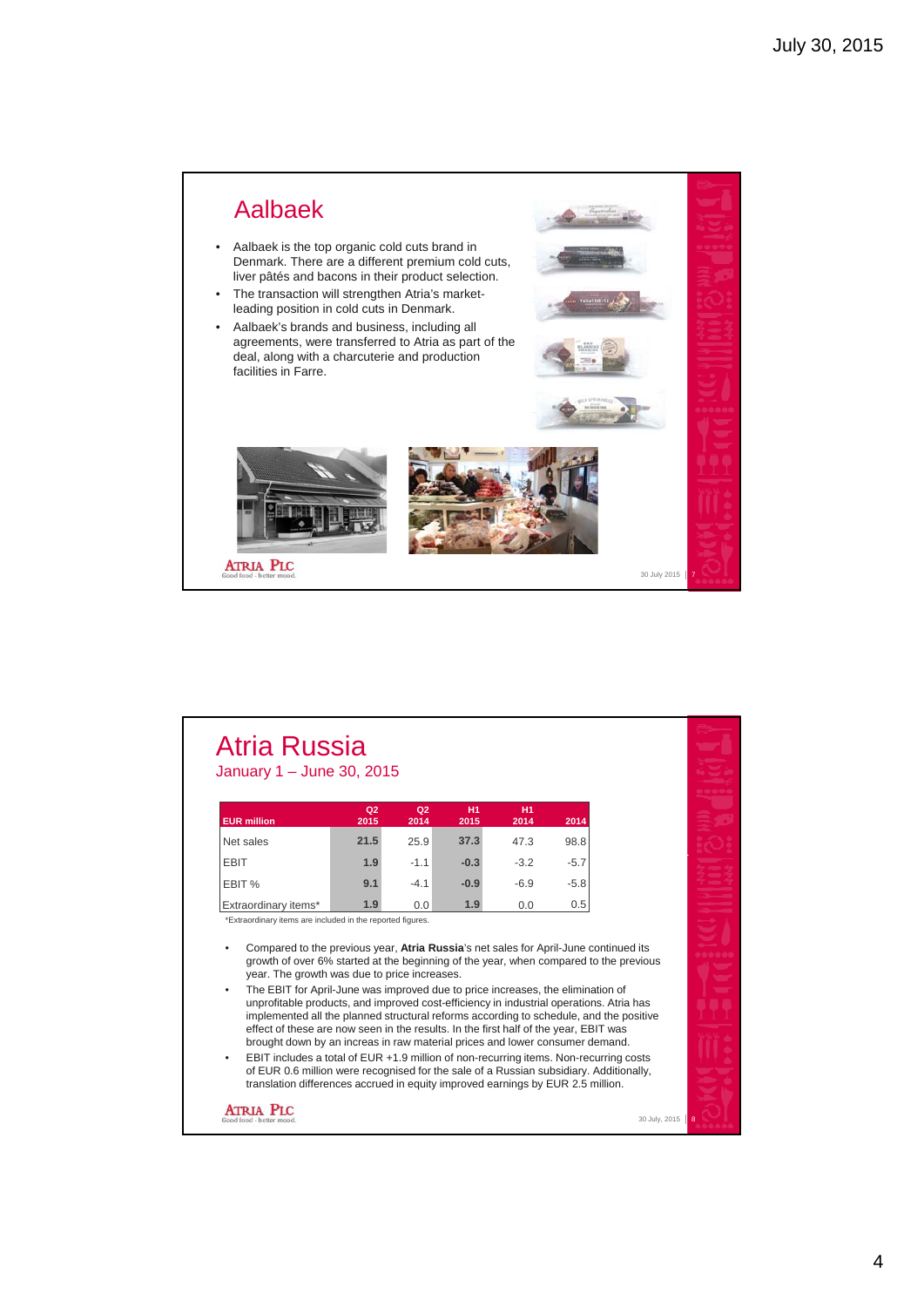

| <b>Atria Russia</b>         |
|-----------------------------|
| January $1 -$ June 30, 2015 |

| <b>EUR</b> million          | Q2<br>2015 | Q <sub>2</sub><br>2014 | H1<br>2015 | <b>H1</b><br>2014 | 2014   |
|-----------------------------|------------|------------------------|------------|-------------------|--------|
| Net sales                   | 21.5       | 25.9                   | 37.3       | 47.3              | 98.8   |
| <b>EBIT</b>                 | 1.9        | $-1.1$                 | $-0.3$     | $-3.2$            | $-5.7$ |
| EBIT %                      | 9.1        | $-4.1$                 | $-0.9$     | $-6.9$            | $-5.8$ |
| <b>Extraordinary items*</b> | 1.9        | 0.0                    | 1.9        | 0.0               | 0.5    |

\*Extraordinary items are included in the reported figures.

- Compared to the previous year, **Atria Russia**'s net sales for April-June continued its growth of over 6% started at the beginning of the year, when compared to the previous year. The growth was due to price increases.
- The EBIT for April-June was improved due to price increases, the elimination of unprofitable products, and improved cost-efficiency in industrial operations. Atria has implemented all the planned structural reforms according to schedule, and the positive effect of these are now seen in the results. In the first half of the year, EBIT was brought down by an increas in raw material prices and lower consumer demand.
- EBIT includes a total of EUR +1.9 million of non-recurring items. Non-recurring costs of EUR 0.6 million were recognised for the sale of a Russian subsidiary. Additionally, translation differences accrued in equity improved earnings by EUR 2.5 million.

**ATRIA PLC** 



30 July, 2015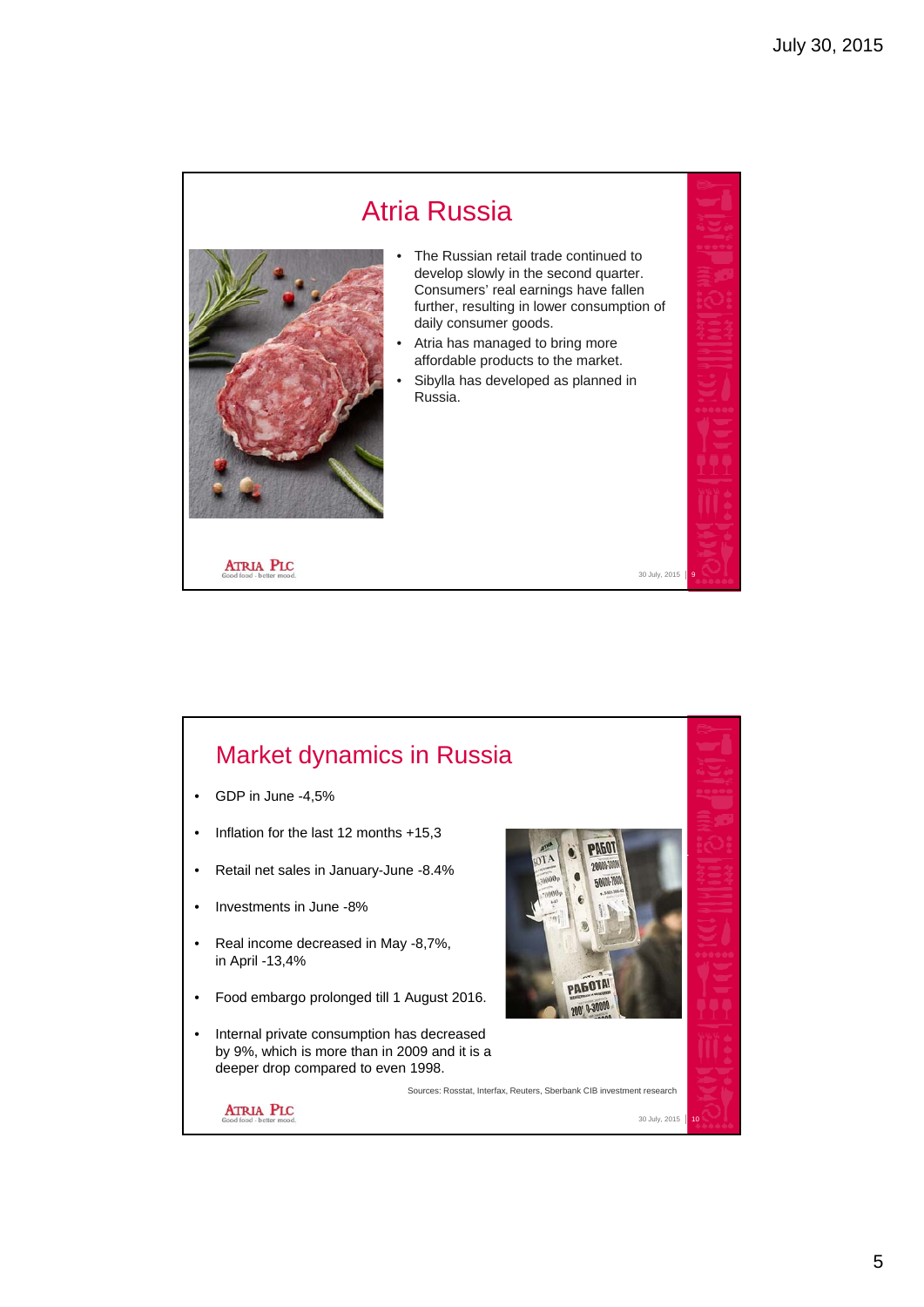

#### Market dynamics in Russia • GDP in June -4,5% • Inflation for the last 12 months +15,3 PN60T  $00003$ • Retail net sales in January-June -8.4% **FORM** • Investments in June -8% • Real income decreased in May -8,7%, in April -13,4% PAGOTA! • Food embargo prolonged till 1 August 2016. ng n.3000 • Internal private consumption has decreased by 9%, which is more than in 2009 and it is a deeper drop compared to even 1998. Sources: Rosstat, Interfax, Reuters, Sberbank CIB investment research**ATRIA PLC** 30 July, 2015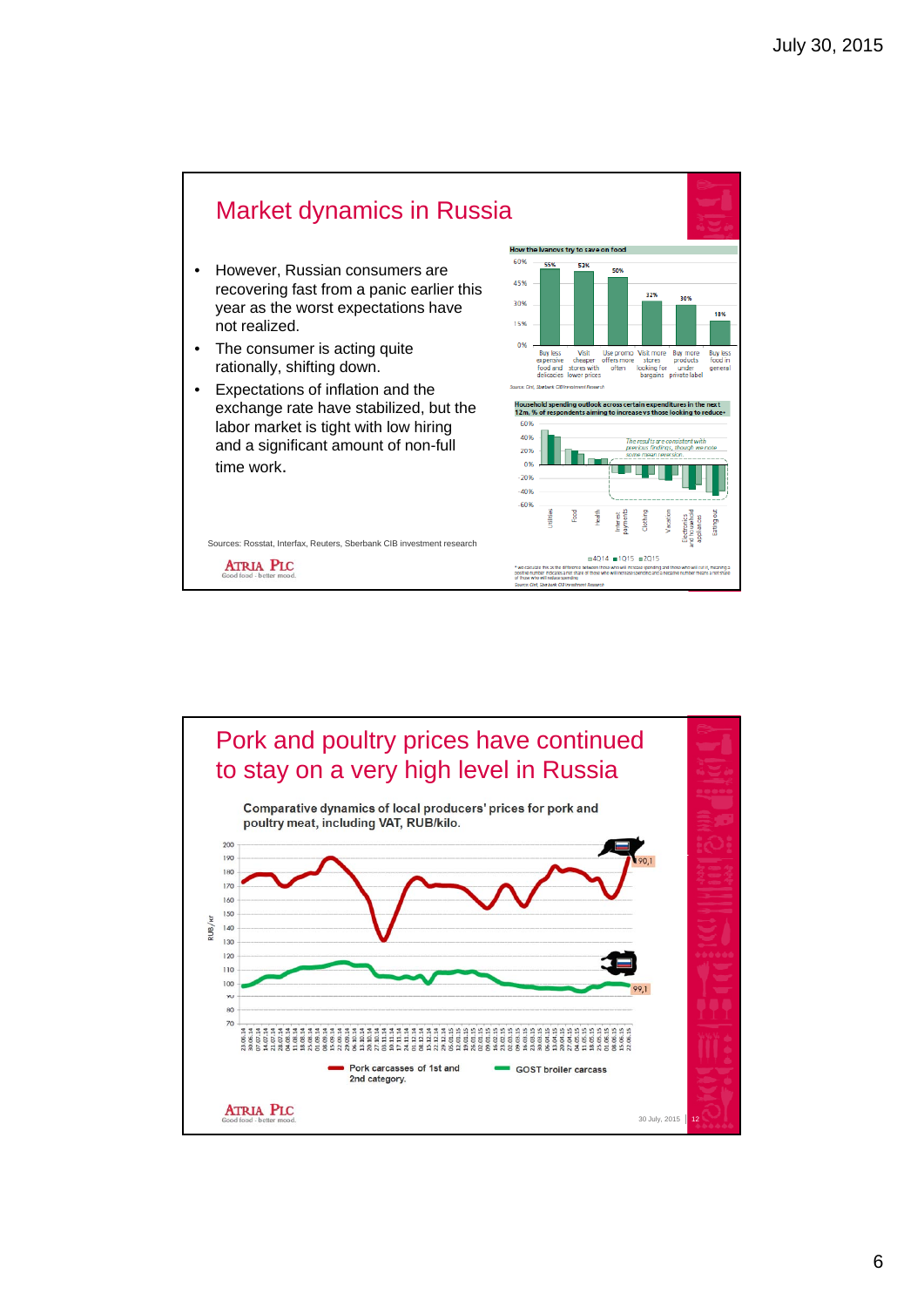

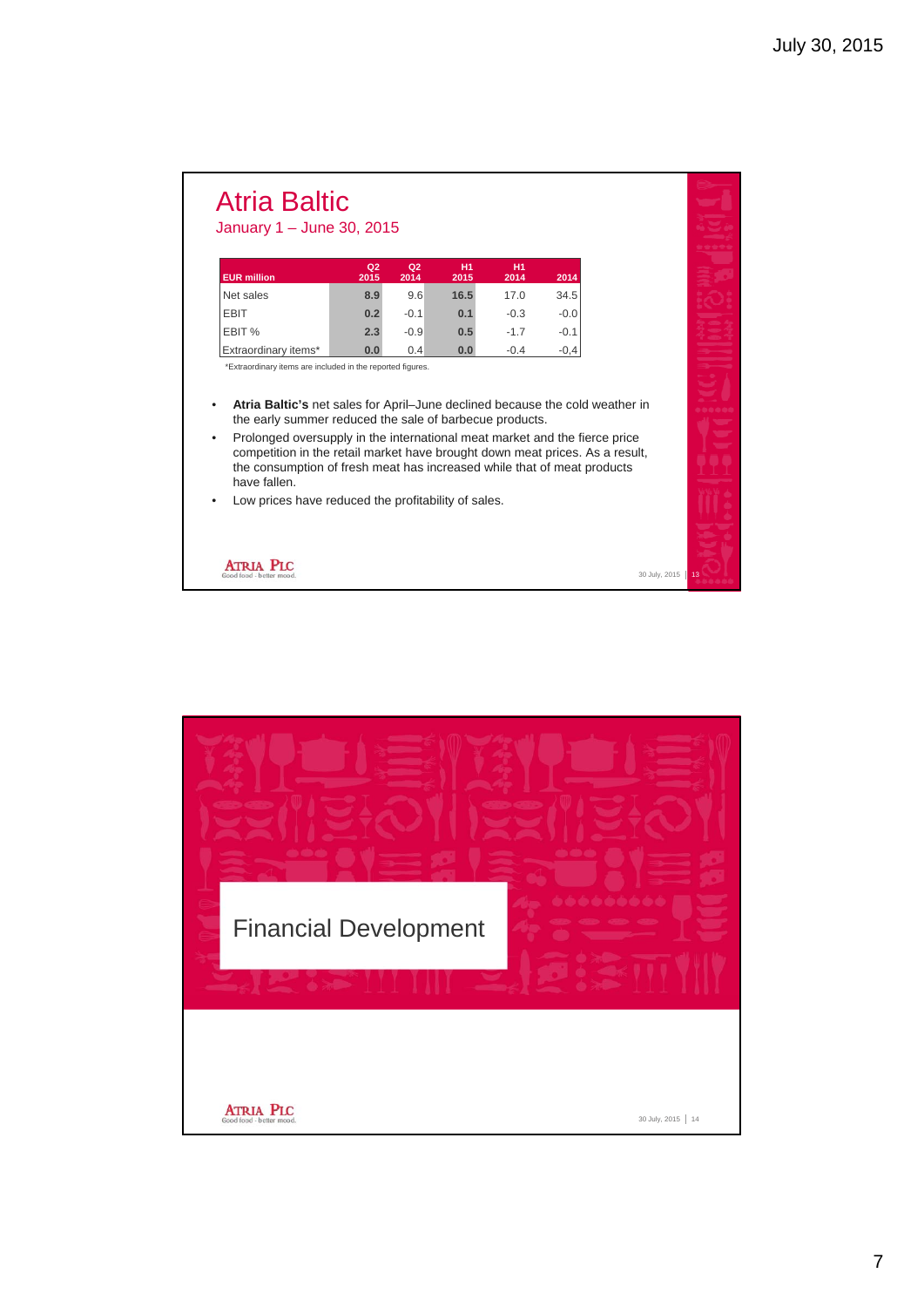### Atria Baltic January 1 – June 30, 2015

| <b>EUR million</b>   | Q <sub>2</sub><br>2015 | Q <sub>2</sub><br>2014 | H1<br>2015 | H1<br>2014 | 2014   |
|----------------------|------------------------|------------------------|------------|------------|--------|
| Net sales            | 8.9                    | 9.6                    | 16.5       | 17.0       | 34.5   |
| <b>EBIT</b>          | 0.2                    | $-0.1$                 | 0.1        | $-0.3$     | $-0.0$ |
| EBIT %               | 2.3                    | $-0.9$                 | 0.5        | $-17$      | $-0.1$ |
| Extraordinary items* | 0.0                    | 0.4                    | 0.0        | $-0.4$     | $-0.4$ |

\*Extraordinary items are included in the reported figures.

- **Atria Baltic's** net sales for April–June declined because the cold weather in the early summer reduced the sale of barbecue products.
- Prolonged oversupply in the international meat market and the fierce price competition in the retail market have brought down meat prices. As a result, the consumption of fresh meat has increased while that of meat products have fallen.

30 July, 2015

Low prices have reduced the profitability of sales.



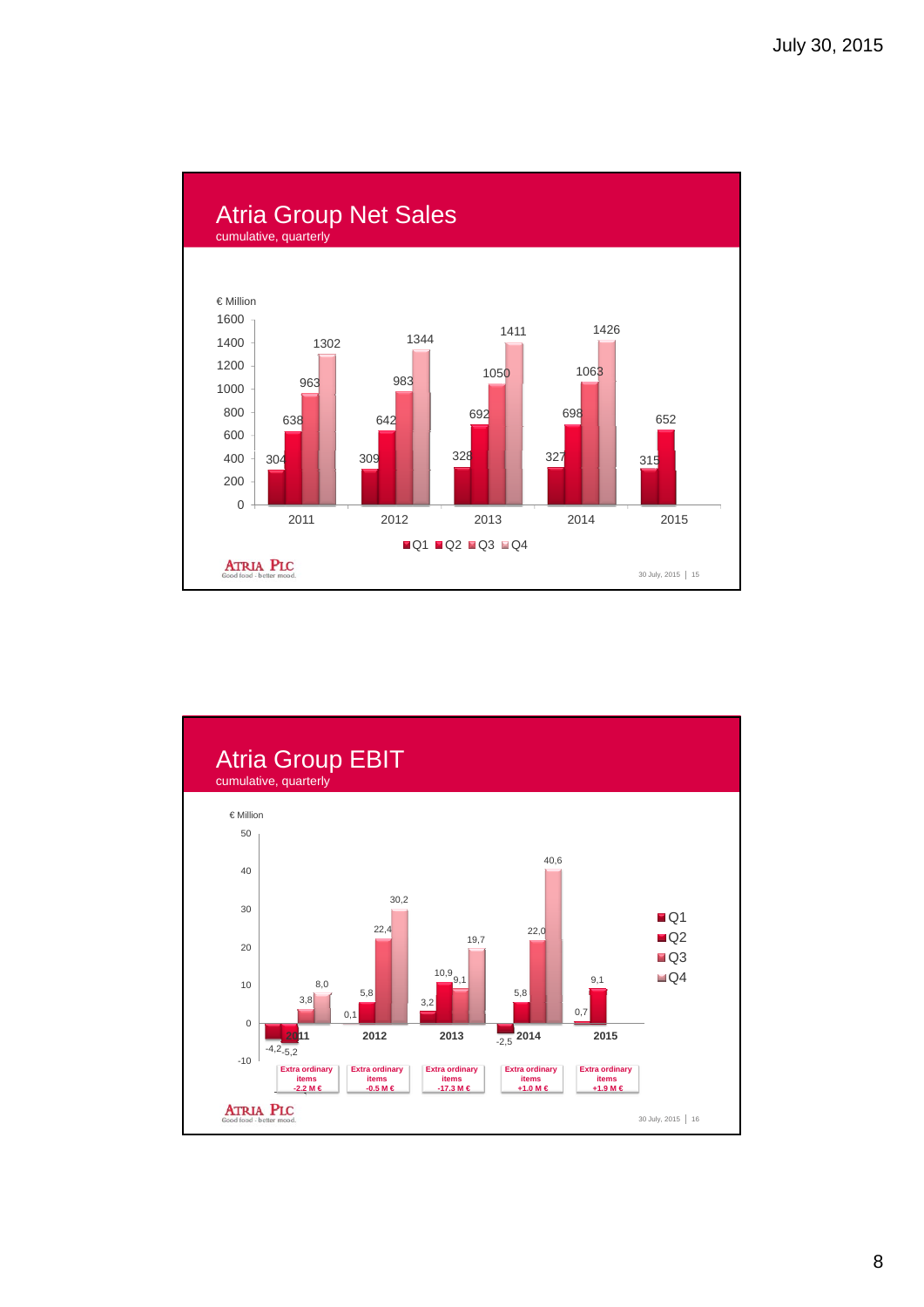

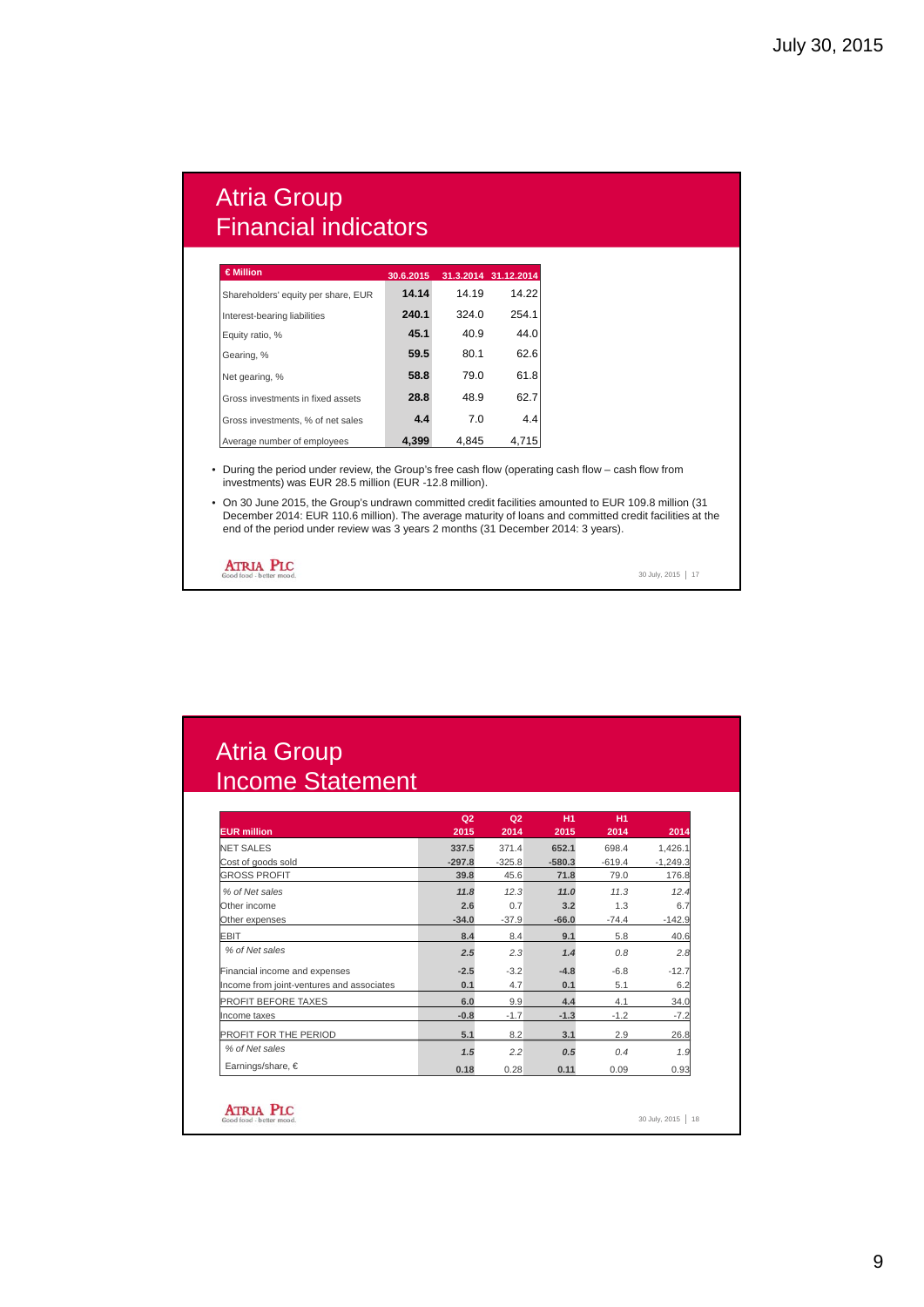## Atria Group Financial indicators

| $\in$ Million                       | 30.6.2015 |       | 31.3.2014 31.12.2014 |
|-------------------------------------|-----------|-------|----------------------|
| Shareholders' equity per share, EUR | 14.14     | 14.19 | 14.22                |
| Interest-bearing liabilities        | 240.1     | 324.0 | 254.1                |
| Equity ratio, %                     | 45.1      | 40.9  | 44.0                 |
| Gearing, %                          | 59.5      | 80.1  | 62.6                 |
| Net gearing, %                      | 58.8      | 79.0  | 61.8                 |
| Gross investments in fixed assets   | 28.8      | 48.9  | 62.7                 |
| Gross investments, % of net sales   | 4.4       | 7.0   | 4.4                  |
| Average number of employees         | 4.399     | 4.845 | 4.715                |

• During the period under review, the Group's free cash flow (operating cash flow – cash flow from investments) was EUR 28.5 million (EUR -12.8 million).

• On 30 June 2015, the Group's undrawn committed credit facilities amounted to EUR 109.8 million (31 December 2014: EUR 110.6 million). The average maturity of loans and committed credit facilities at the end of the period under review was 3 years 2 months (31 December 2014: 3 years).

**ATRIA PLC** 

30 July, 2015 | 17

## Atria Group Income Statement

|                                           | Q <sub>2</sub> | Q <sub>2</sub> | H1       | H1       |            |
|-------------------------------------------|----------------|----------------|----------|----------|------------|
| <b>EUR million</b>                        | 2015           | 2014           | 2015     | 2014     | 2014       |
| <b>NET SALES</b>                          | 337.5          | 371.4          | 652.1    | 698.4    | 1,426.1    |
| Cost of goods sold                        | $-297.8$       | $-325.8$       | $-580.3$ | $-619.4$ | $-1,249.3$ |
| <b>GROSS PROFIT</b>                       | 39.8           | 45.6           | 71.8     | 79.0     | 176.8      |
| % of Net sales                            | 11.8           | 12.3           | 11.0     | 11.3     | 12.4       |
| Other income                              | 2.6            | 0.7            | 3.2      | 1.3      | 6.7        |
| Other expenses                            | $-34.0$        | $-37.9$        | $-66.0$  | $-74.4$  | $-142.9$   |
| EBIT                                      | 8.4            | 8.4            | 9.1      | 5.8      | 40.6       |
| % of Net sales                            | 2.5            | 2.3            | 1.4      | 0.8      | 2.8        |
| Financial income and expenses             | $-2.5$         | $-3.2$         | $-4.8$   | $-6.8$   | $-12.7$    |
| Income from joint-ventures and associates | 0.1            | 4.7            | 0.1      | 5.1      | 6.2        |
| PROFIT BEFORE TAXES                       | 6.0            | 9.9            | 4.4      | 4.1      | 34.0       |
| Income taxes                              | $-0.8$         | $-1.7$         | $-1.3$   | $-1.2$   | $-7.2$     |
| PROFIT FOR THE PERIOD                     | 5.1            | 8.2            | 3.1      | 2.9      | 26.8       |
| % of Net sales                            | 1.5            | 2.2            | 0.5      | 0.4      | 1.9        |
| Earnings/share, €                         | 0.18           | 0.28           | 0.11     | 0.09     | 0.93       |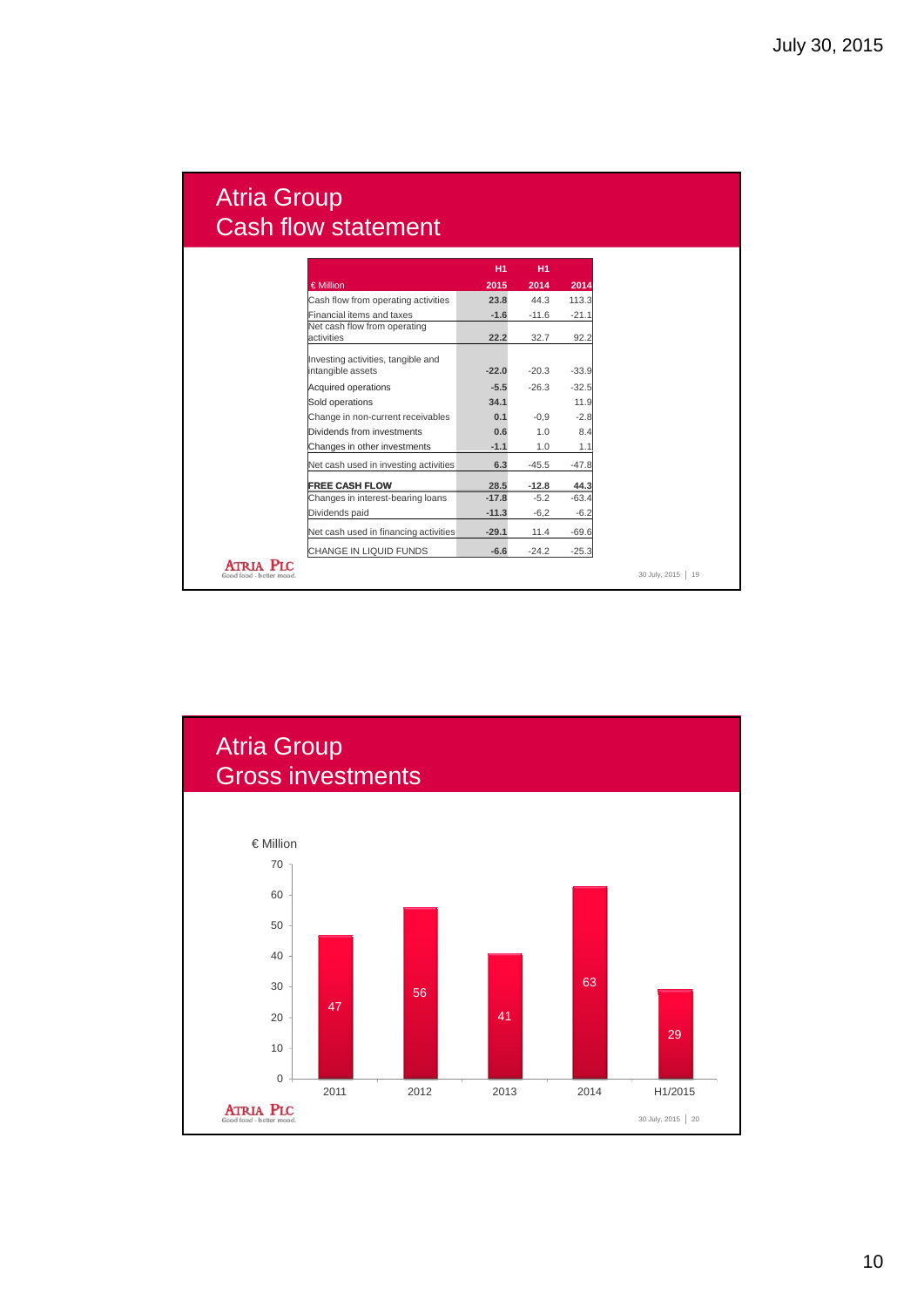## Atria Group Cash flow statement

|                                         |                                                         | <b>H1</b> | <b>H1</b> |         |
|-----------------------------------------|---------------------------------------------------------|-----------|-----------|---------|
|                                         | € Million                                               | 2015      | 2014      | 2014    |
|                                         | Cash flow from operating activities                     | 23.8      | 44.3      | 113.3   |
|                                         | Financial items and taxes                               | $-1.6$    | $-11.6$   | $-21.1$ |
|                                         | Net cash flow from operating<br>activities              | 22.2      | 32.7      | 92.2    |
|                                         | Investing activities, tangible and<br>intangible assets | $-22.0$   | $-20.3$   | $-33.9$ |
|                                         | Acquired operations                                     | $-5.5$    | $-26.3$   | $-32.5$ |
|                                         | Sold operations                                         | 34.1      |           | 11.9    |
|                                         | Change in non-current receivables                       | 0.1       | $-0.9$    | $-2.8$  |
|                                         | Dividends from investments                              | 0.6       | 1.0       | 8.4     |
|                                         | Changes in other investments                            | $-1.1$    | 1.0       | 1.1     |
|                                         | Net cash used in investing activities                   | 6.3       | $-45.5$   | $-47.8$ |
|                                         | <b>FREE CASH FLOW</b>                                   | 28.5      | $-12.8$   | 44.3    |
|                                         | Changes in interest-bearing loans                       | $-17.8$   | $-5.2$    | $-63.4$ |
|                                         | Dividends paid                                          | $-11.3$   | $-6,2$    | $-6.2$  |
|                                         | Net cash used in financing activities                   | $-29.1$   | 11.4      | $-69.6$ |
|                                         | CHANGE IN LIQUID FUNDS                                  | $-6.6$    | $-24.2$   | $-25.3$ |
| <b>ATRIA</b><br>Good food - better mood |                                                         |           |           |         |

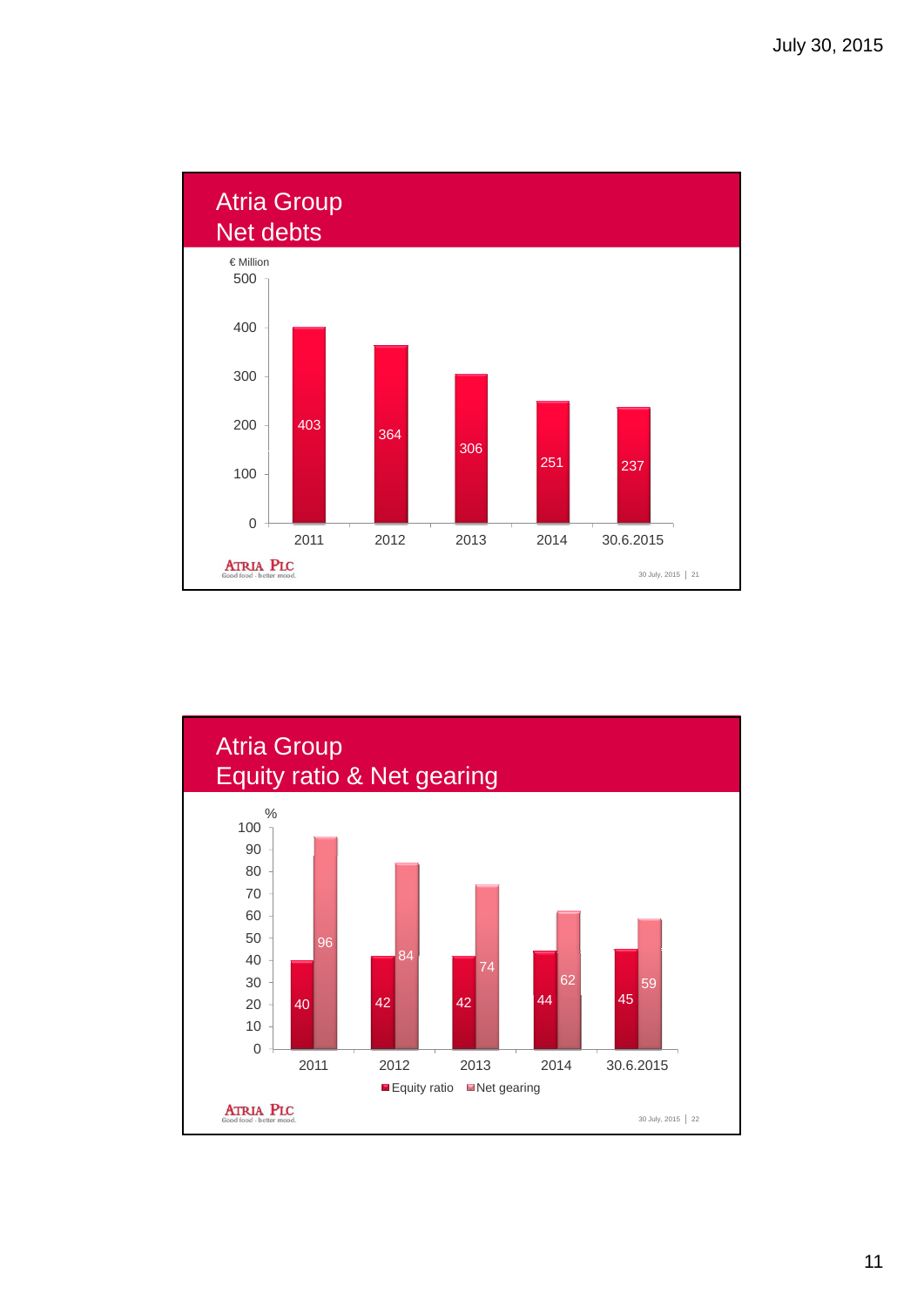

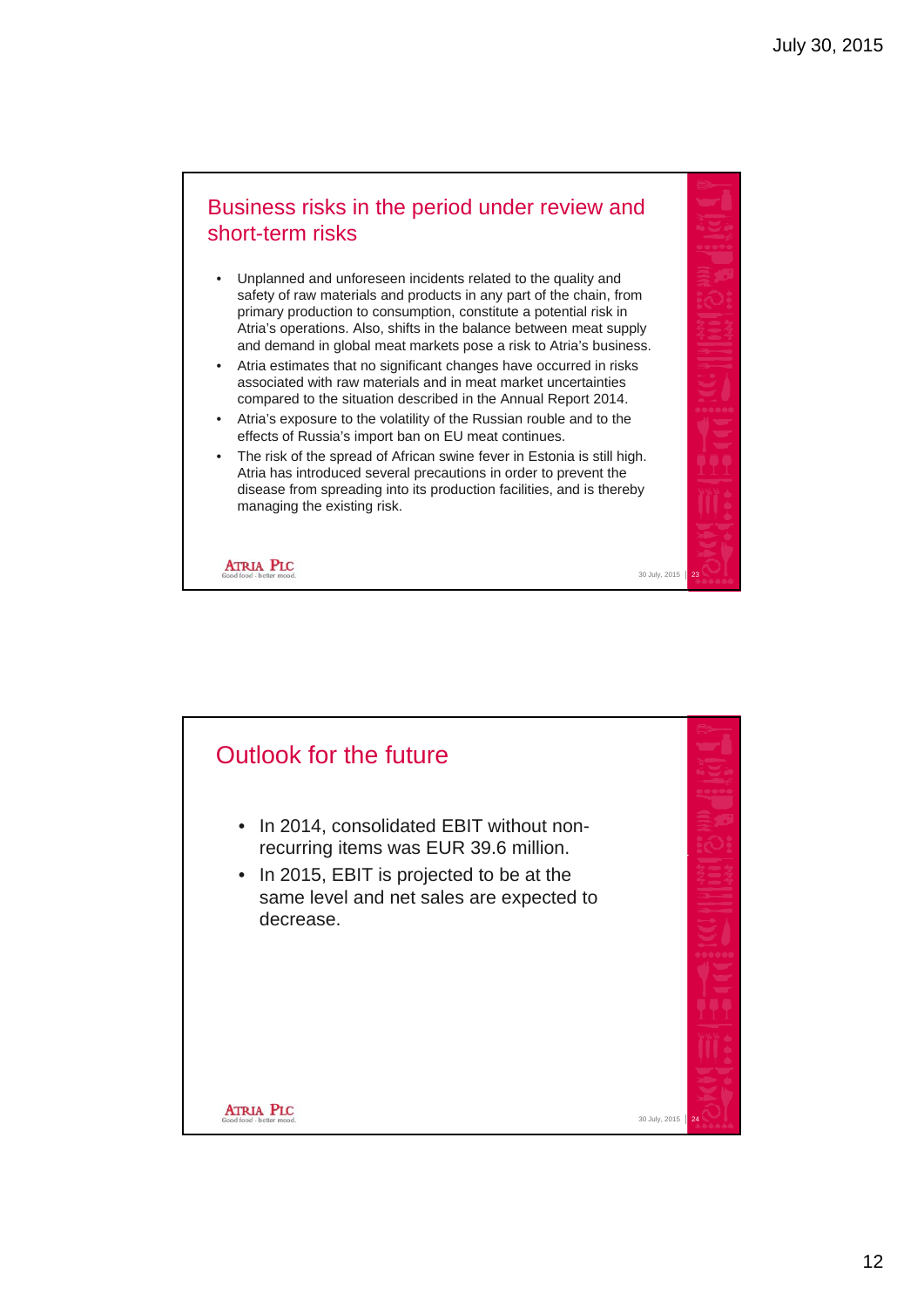#### Business risks in the period under review and short-term risks

- Unplanned and unforeseen incidents related to the quality and safety of raw materials and products in any part of the chain, from primary production to consumption, constitute a potential risk in Atria's operations. Also, shifts in the balance between meat supply and demand in global meat markets pose a risk to Atria's business.
- Atria estimates that no significant changes have occurred in risks associated with raw materials and in meat market uncertainties compared to the situation described in the Annual Report 2014.
- Atria's exposure to the volatility of the Russian rouble and to the effects of Russia's import ban on EU meat continues.
- The risk of the spread of African swine fever in Estonia is still high. Atria has introduced several precautions in order to prevent the disease from spreading into its production facilities, and is thereby managing the existing risk.

30 July, 2015

**ATRIA PLC**